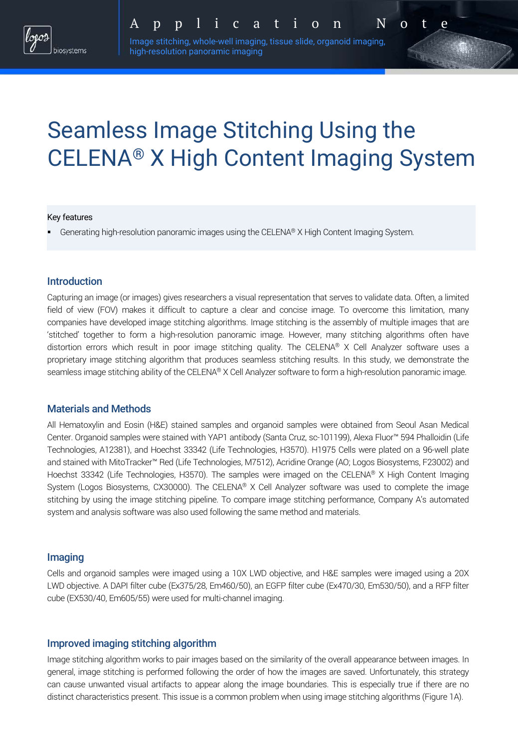

Image stitching, whole-well imaging, tissue slide, organoid imaging, high-resolution panoramic imaging

# Seamless Image Stitching Using the CELENA® X High Content Imaging System

#### Key features

Generating high-resolution panoramic images using the CELENA® X High Content Imaging System.

## Introduction

Capturing an image (or images) gives researchers a visual representation that serves to validate data. Often, a limited field of view (FOV) makes it difficult to capture a clear and concise image. To overcome this limitation, many companies have developed image stitching algorithms. Image stitching is the assembly of multiple images that are 'stitched' together to form a high-resolution panoramic image. However, many stitching algorithms often have distortion errors which result in poor image stitching quality. The CELENA® X Cell Analyzer software uses a proprietary image stitching algorithm that produces seamless stitching results. In this study, we demonstrate the seamless image stitching ability of the CELENA® X Cell Analyzer software to form a high-resolution panoramic image.

## Materials and Methods

All Hematoxylin and Eosin (H&E) stained samples and organoid samples were obtained from Seoul Asan Medical Center. Organoid samples were stained with YAP1 antibody (Santa Cruz, sc-101199), Alexa Fluor™ 594 Phalloidin (Life Technologies, A12381), and Hoechst 33342 (Life Technologies, H3570). H1975 Cells were plated on a 96-well plate and stained with MitoTracker™ Red (Life Technologies, M7512), Acridine Orange (AO; Logos Biosystems, F23002) and Hoechst 33342 (Life Technologies, H3570). The samples were imaged on the CELENA® X High Content Imaging System (Logos Biosystems, CX30000). The CELENA® X Cell Analyzer software was used to complete the image stitching by using the image stitching pipeline. To compare image stitching performance, Company A's automated system and analysis software was also used following the same method and materials.

#### Imaging

Cells and organoid samples were imaged using a 10X LWD objective, and H&E samples were imaged using a 20X LWD objective. A DAPI filter cube (Ex375/28, Em460/50), an EGFP filter cube (Ex470/30, Em530/50), and a RFP filter cube (EX530/40, Em605/55) were used for multi-channel imaging.

#### Improved imaging stitching algorithm

Image stitching algorithm works to pair images based on the similarity of the overall appearance between images. In general, image stitching is performed following the order of how the images are saved. Unfortunately, this strategy can cause unwanted visual artifacts to appear along the image boundaries. This is especially true if there are no distinct characteristics present. This issue is a common problem when using image stitching algorithms (Figure 1A).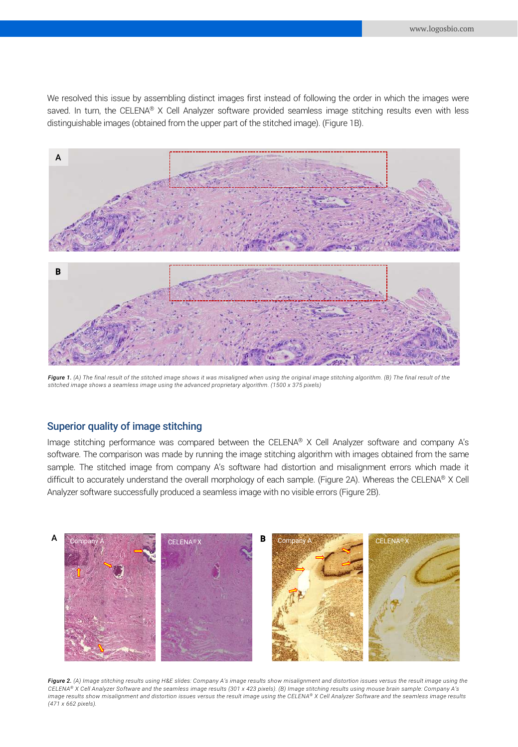We resolved this issue by assembling distinct images first instead of following the order in which the images were saved. In turn, the CELENA® X Cell Analyzer software provided seamless image stitching results even with less distinguishable images (obtained from the upper part of the stitched image). (Figure 1B).



*Figure 1. (A) The final result of the stitched image shows it was misaligned when using the original image stitching algorithm. (B) The final result of the stitched image shows a seamless image using the advanced proprietary algorithm. (1500 x 375 pixels)*

## Superior quality of image stitching

Image stitching performance was compared between the CELENA® X Cell Analyzer software and company A's software. The comparison was made by running the image stitching algorithm with images obtained from the same sample. The stitched image from company A's software had distortion and misalignment errors which made it difficult to accurately understand the overall morphology of each sample. (Figure 2A). Whereas the CELENA® X Cell Analyzer software successfully produced a seamless image with no visible errors (Figure 2B).



*Figure 2. (A) Image stitching results using H&E slides: Company A's image results show misalignment and distortion issues versus the result image using the CELENA® X Cell Analyzer Software and the seamless image results (301 x 423 pixels). (B) Image stitching results using mouse brain sample: Company A's image results show misalignment and distortion issues versus the result image using the CELENA® X Cell Analyzer Software and the seamless image results (471 x 662 pixels).*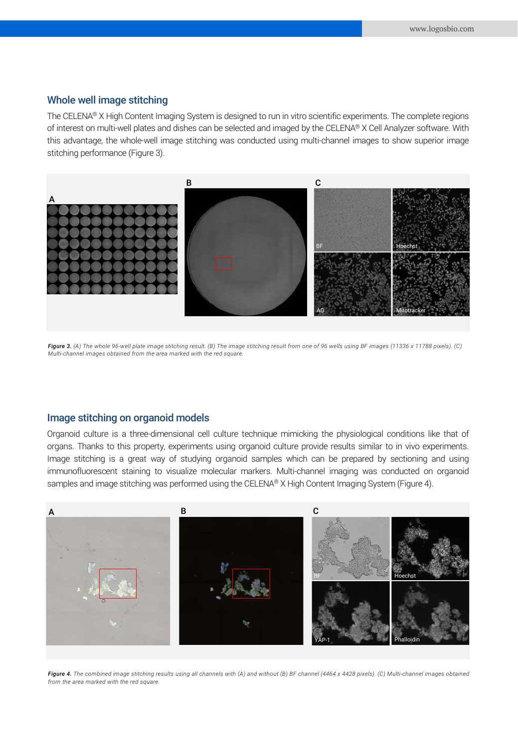## Whole well image stitching

The CELENA® X High Content Imaging System is designed to run in vitro scientific experiments. The complete regions of interest on multi-well plates and dishes can be selected and imaged by the CELENA® X Cell Analyzer software. With this advantage, the whole-well image stitching was conducted using multi-channel images to show superior image stitching performance (Figure 3).



*Figure 3. (A) The whole 96-well plate image stitching result. (B) The image stitching result from one of 96 wells using BF images (11336 x 11788 pixels). (C) Multi-channel images obtained from the area marked with the red square.*

### Image stitching on organoid models

Organoid culture is a three-dimensional cell culture technique mimicking the physiological conditions like that of organs. Thanks to this property, experiments using organoid culture provide results similar to in vivo experiments. Image stitching is a great way of studying organoid samples which can be prepared by sectioning and using immunofluorescent staining to visualize molecular markers. Multi-channel imaging was conducted on organoid samples and image stitching was performed using the CELENA® X High Content Imaging System (Figure 4).



Figure 4. The combined image stitching results using all channels with (A) and without (B) BF channel (4464 x 4428 pixels). (C) Multi-channel images obtained *from the area marked with the red square.*